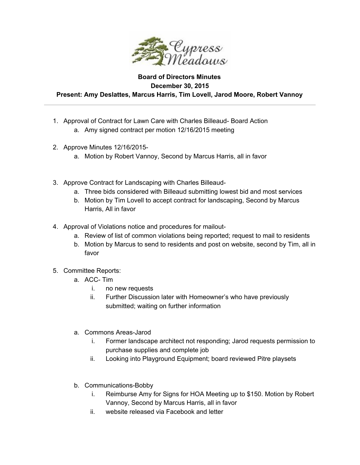

## **Board of Directors Minutes December 30, 2015 Present: Amy Deslattes, Marcus Harris, Tim Lovell, Jarod Moore, Robert Vannoy**

- 1. Approval of Contract for Lawn Care with Charles Billeaud- Board Action a. Amy signed contract per motion 12/16/2015 meeting
- 2. Approve Minutes 12/16/2015
	- a. Motion by Robert Vannoy, Second by Marcus Harris, all in favor
- 3. Approve Contract for Landscaping with Charles Billeaud
	- a. Three bids considered with Billeaud submitting lowest bid and most services
	- b. Motion by Tim Lovell to accept contract for landscaping, Second by Marcus Harris, All in favor
- 4. Approval of Violations notice and procedures for mailout
	- a. Review of list of common violations being reported; request to mail to residents
	- b. Motion by Marcus to send to residents and post on website, second by Tim, all in favor
- 5. Committee Reports:
	- a. ACC-Tim
		- i. no new requests
		- ii. Further Discussion later with Homeowner's who have previously submitted; waiting on further information
	- a. Commons Areas-Jarod
		- i. Former landscape architect not responding; Jarod requests permission to purchase supplies and complete job
		- ii. Looking into Playground Equipment; board reviewed Pitre playsets
	- b. Communications-Bobby
		- i. Reimburse Amy for Signs for HOA Meeting up to \$150. Motion by Robert Vannoy, Second by Marcus Harris, all in favor
		- ii. website released via Facebook and letter